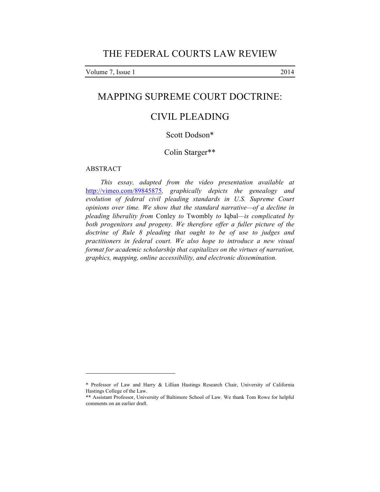Volume 7, Issue 1 2014

# MAPPING SUPREME COURT DOCTRINE:

# CIVIL PLEADING

## Scott Dodson\*

## Colin Starger\*\*

#### ABSTRACT

 $\overline{a}$ 

*This essay, adapted from the video presentation available at*  http://vimeo.com/89845875*, graphically depicts the genealogy and evolution of federal civil pleading standards in U.S. Supreme Court opinions over time. We show that the standard narrative—of a decline in pleading liberality from* Conley *to* Twombly *to* Iqbal*—is complicated by both progenitors and progeny. We therefore offer a fuller picture of the doctrine of Rule 8 pleading that ought to be of use to judges and practitioners in federal court. We also hope to introduce a new visual format for academic scholarship that capitalizes on the virtues of narration, graphics, mapping, online accessibility, and electronic dissemination.*

<sup>\*</sup> Professor of Law and Harry & Lillian Hastings Research Chair, University of California Hastings College of the Law.

<sup>\*\*</sup> Assistant Professor, University of Baltimore School of Law. We thank Tom Rowe for helpful comments on an earlier draft.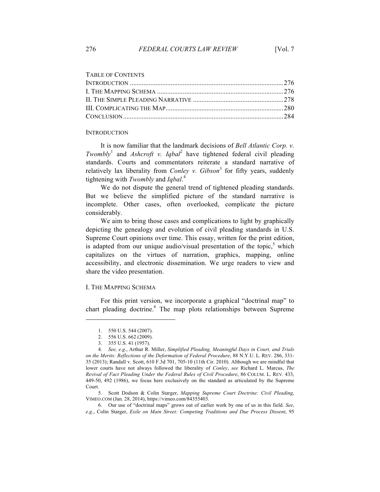|  |  |  | <b>TABLE OF CONTENTS</b> |
|--|--|--|--------------------------|
|--|--|--|--------------------------|

#### **INTRODUCTION**

It is now familiar that the landmark decisions of *Bell Atlantic Corp. v. Twombly*<sup>1</sup> and *Ashcroft v. Iqbal*<sup>2</sup> have tightened federal civil pleading standards. Courts and commentators reiterate a standard narrative of relatively lax liberality from *Conley v. Gibson*<sup>3</sup> for fifty years, suddenly tightening with *Twombly* and *Iqbal*. 4

We do not dispute the general trend of tightened pleading standards. But we believe the simplified picture of the standard narrative is incomplete. Other cases, often overlooked, complicate the picture considerably.

We aim to bring those cases and complications to light by graphically depicting the genealogy and evolution of civil pleading standards in U.S. Supreme Court opinions over time. This essay, written for the print edition, is adapted from our unique audio/visual presentation of the topic, $\delta$  which capitalizes on the virtues of narration, graphics, mapping, online accessibility, and electronic dissemination. We urge readers to view and share the video presentation.

#### I. THE MAPPING SCHEMA

l

For this print version, we incorporate a graphical "doctrinal map" to chart pleading doctrine.<sup>6</sup> The map plots relationships between Supreme

6. Our use of "doctrinal maps" grows out of earlier work by one of us in this field. *See*, *e*.*g*., Colin Starger, *Exile on Main Street: Competing Traditions and Due Process Dissent*, 95

<sup>1.</sup> 550 U.S. 544 (2007).

<sup>2.</sup> 556 U.S. 662 (2009).

<sup>3.</sup> 355 U.S. 41 (1957).

<sup>4.</sup> *See, e*.*g*., Arthur R. Miller, *Simplified Pleading, Meaningful Days in Court, and Trials on the Merits: Reflections of the Deformation of Federal Procedure*, 88 N.Y.U. L. REV. 286, 331- 35 (2013); Randall v. Scott, 610 F.3d 701, 705-10 (11th Cir. 2010). Although we are mindful that lower courts have not always followed the liberality of *Conley*, *see* Richard L. Marcus, *The Revival of Fact Pleading Under the Federal Rules of Civil Procedure*, 86 COLUM. L. REV. 433, 449-50, 492 (1986), we focus here exclusively on the standard as articulated by the Supreme Court.

<sup>5.</sup> Scott Dodson & Colin Starger, *Mapping Supreme Court Doctrine: Civil Pleading*, VIMEO.COM (Jan. 28, 2014), https://vimeo.com/84355403.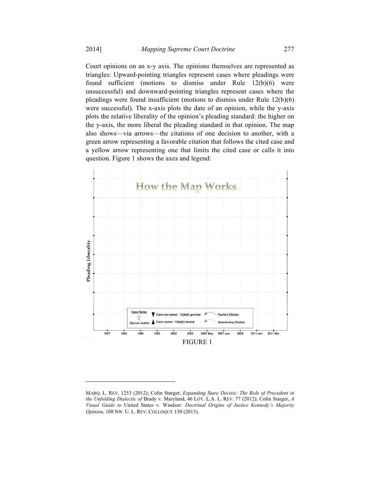Court opinions on an x-y axis. The opinions themselves are represented as triangles: Upward-pointing triangles represent cases where pleadings were found sufficient (motions to dismiss under Rule 12(b)(6) were unsuccessful) and downward-pointing triangles represent cases where the pleadings were found insufficient (motions to dismiss under Rule 12(b)(6) were successful). The x-axis plots the date of an opinion, while the y-axis plots the relative liberality of the opinion's pleading standard: the higher on the y-axis, the more liberal the pleading standard in that opinion. The map also shows—via arrows—the citations of one decision to another, with a green arrow representing a favorable citation that follows the cited case and a yellow arrow representing one that limits the cited case or calls it into question. Figure 1 shows the axes and legend:



MARQ. L. REV. 1253 (2012); Colin Starger, *Expanding Stare Decisis: The Role of Precedent in the Unfolding Dialectic of* Brady v. Maryland, 46 LOY. L.A. L. REV. 77 (2012); Colin Starger, *A Visual Guide to* United States v. Windsor*: Doctrinal Origins of Justice Kennedy's Majority Opinion*, 108 NW. U. L. REV. COLLOQUY 130 (2013).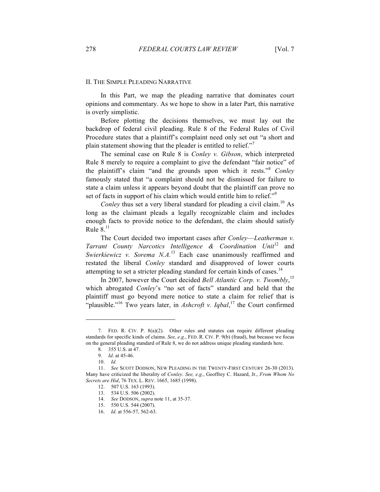### II. THE SIMPLE PLEADING NARRATIVE

In this Part, we map the pleading narrative that dominates court opinions and commentary. As we hope to show in a later Part, this narrative is overly simplistic.

Before plotting the decisions themselves, we must lay out the backdrop of federal civil pleading. Rule 8 of the Federal Rules of Civil Procedure states that a plaintiff's complaint need only set out "a short and plain statement showing that the pleader is entitled to relief."<sup>7</sup>

The seminal case on Rule 8 is *Conley v. Gibson*, which interpreted Rule 8 merely to require a complaint to give the defendant "fair notice" of the plaintiff's claim "and the grounds upon which it rests." <sup>8</sup> *Conley* famously stated that "a complaint should not be dismissed for failure to state a claim unless it appears beyond doubt that the plaintiff can prove no set of facts in support of his claim which would entitle him to relief."<sup>9</sup>

*Conley* thus set a very liberal standard for pleading a civil claim.<sup>10</sup> As long as the claimant pleads a legally recognizable claim and includes enough facts to provide notice to the defendant, the claim should satisfy Rule  $8<sup>11</sup>$ 

The Court decided two important cases after *Conley*—*Leatherman v. Tarrant County Narcotics Intelligence & Coordination Unit*<sup>12</sup> and *Swierkiewicz v. Sorema N.A.*<sup>13</sup> Each case unanimously reaffirmed and restated the liberal *Conley* standard and disapproved of lower courts attempting to set a stricter pleading standard for certain kinds of cases.<sup>14</sup>

In 2007, however the Court decided *Bell Atlantic Corp. v. Twombly*, 15 which abrogated *Conley*'s "no set of facts" standard and held that the plaintiff must go beyond mere notice to state a claim for relief that is "plausible."<sup>16</sup> Two years later, in *Ashcroft v. Iqbal*,<sup>17</sup> the Court confirmed

<sup>7.</sup> FED. R. CIV. P. 8(a)(2). Other rules and statutes can require different pleading standards for specific kinds of claims. *See, e*.*g*., FED. R. CIV. P. 9(b) (fraud), but because we focus on the general pleading standard of Rule 8, we do not address unique pleading standards here.

<sup>8.</sup> 355 U.S. at 47.

<sup>9.</sup> *Id*. at 45-46.

<sup>10.</sup> *Id*.

<sup>11.</sup> *See* SCOTT DODSON, NEW PLEADING IN THE TWENTY-FIRST CENTURY 26-30 (2013). Many have criticized the liberality of *Conley*. *See, e*.*g*., Geoffrey C. Hazard, Jr., *From Whom No Secrets are Hid*, 76 TEX. L. REV. 1665, 1685 (1998).

<sup>12.</sup> 507 U.S. 163 (1993).

<sup>13.</sup> 534 U.S. 506 (2002).

<sup>14.</sup> *See* DODSON, *supra* note 11, at 35-37.

<sup>15.</sup> 550 U.S. 544 (2007).

<sup>16.</sup> *Id*. at 556-57, 562-63.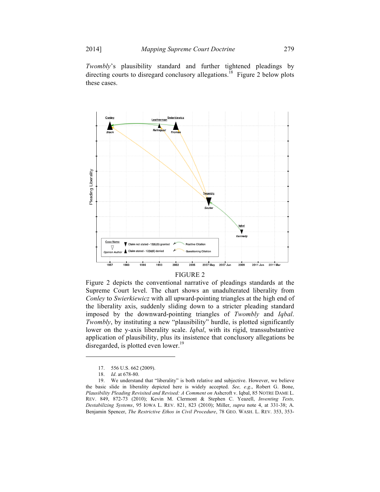*Twombly*'s plausibility standard and further tightened pleadings by directing courts to disregard conclusory allegations.<sup>18</sup> Figure 2 below plots these cases.



#### FIGURE 2

Figure 2 depicts the conventional narrative of pleadings standards at the Supreme Court level. The chart shows an unadulterated liberality from *Conley* to *Swierkiewicz* with all upward-pointing triangles at the high end of the liberality axis, suddenly sliding down to a stricter pleading standard imposed by the downward-pointing triangles of *Twombly* and *Iqbal*. *Twombly*, by instituting a new "plausibility" hurdle, is plotted significantly lower on the y-axis liberality scale. *Iqbal*, with its rigid, transsubstantive application of plausibility, plus its insistence that conclusory allegations be disregarded, is plotted even lower.<sup>19</sup>

<sup>17.</sup> 556 U.S. 662 (2009).

<sup>18.</sup> *Id*. at 678-80.

<sup>19.</sup> We understand that "liberality" is both relative and subjective. However, we believe the basic slide in liberality depicted here is widely accepted. *See, e*.*g*., Robert G. Bone, *Plausibility Pleading Revisited and Revised: A Comment on* Ashcroft v. Iqbal, 85 NOTRE DAME L. REV. 849, 872-73 (2010); Kevin M. Clermont & Stephen C. Yeazell, *Inventing Tests, Destabilizing Systems*, 95 IOWA L. REV. 821, 823 (2010); Miller, *supra* note 4, at 331-38; A. Benjamin Spencer, *The Restrictive Ethos in Civil Procedure*, 78 GEO. WASH. L. REV. 353, 353-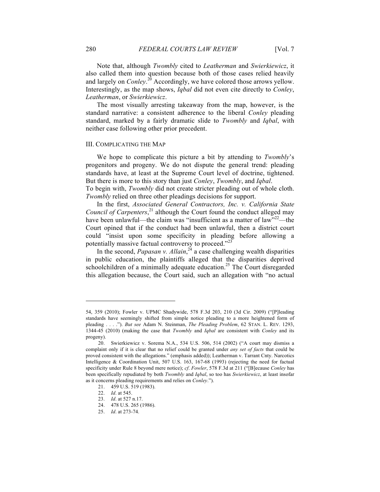Note that, although *Twombly* cited to *Leatherman* and *Swierkiewicz*, it also called them into question because both of those cases relied heavily and largely on *Conley*.<sup>20</sup> Accordingly, we have colored those arrows yellow. Interestingly, as the map shows, *Iqbal* did not even cite directly to *Conley*, *Leatherman*, or *Swierkiewicz*.

The most visually arresting takeaway from the map, however, is the standard narrative: a consistent adherence to the liberal *Conley* pleading standard, marked by a fairly dramatic slide to *Twombly* and *Iqbal*, with neither case following other prior precedent.

#### III. COMPLICATING THE MAP

We hope to complicate this picture a bit by attending to *Twombly*'s progenitors and progeny. We do not dispute the general trend: pleading standards have, at least at the Supreme Court level of doctrine, tightened. But there is more to this story than just *Conley*, *Twombly*, and *Iqbal*.

To begin with, *Twombly* did not create stricter pleading out of whole cloth. *Twombly* relied on three other pleadings decisions for support.

In the first, *Associated General Contractors, Inc. v. California State Council of Carpenters*, <sup>21</sup> although the Court found the conduct alleged may have been unlawful—the claim was "insufficient as a matter of law"<sup>22</sup>—the Court opined that if the conduct had been unlawful, then a district court could "insist upon some specificity in pleading before allowing a potentially massive factual controversy to proceed."<sup>23</sup>

In the second, *Papasan v. Allain*,  $^{24}$  a case challenging wealth disparities in public education, the plaintiffs alleged that the disparities deprived schoolchildren of a minimally adequate education.<sup>25</sup> The Court disregarded this allegation because, the Court said, such an allegation with "no actual

<sup>54, 359 (2010);</sup> Fowler v. UPMC Shadywide, 578 F.3d 203, 210 (3d Cir. 2009) ("[P]leading standards have seemingly shifted from simple notice pleading to a more heightened form of pleading . . . ."). *But see* Adam N. Steinman, *The Pleading Problem*, 62 STAN. L. REV. 1293, 1344-45 (2010) (making the case that *Twombly* and *Iqbal* are consistent with *Conley* and its progeny).

<sup>20.</sup> Swierkiewicz v. Sorema N.A., 534 U.S. 506, 514 (2002) ("A court may dismiss a complaint only if it is clear that no relief could be granted under *any set of facts* that could be proved consistent with the allegations." (emphasis added)); Leatherman v. Tarrant Cnty. Narcotics Intelligence & Coordination Unit, 507 U.S. 163, 167-68 (1993) (rejecting the need for factual specificity under Rule 8 beyond mere notice); *cf*. *Fowler*, 578 F.3d at 211 ("[B]ecause *Conley* has been specifically repudiated by both *Twombly* and *Iqbal*, so too has *Swierkiewicz*, at least insofar as it concerns pleading requirements and relies on *Conley*.").

<sup>21.</sup> 459 U.S. 519 (1983).

<sup>22.</sup> *Id*. at 545.

<sup>23.</sup> *Id*. at 527 n.17.

<sup>24.</sup> 478 U.S. 265 (1986).

<sup>25.</sup> *Id*. at 273-74.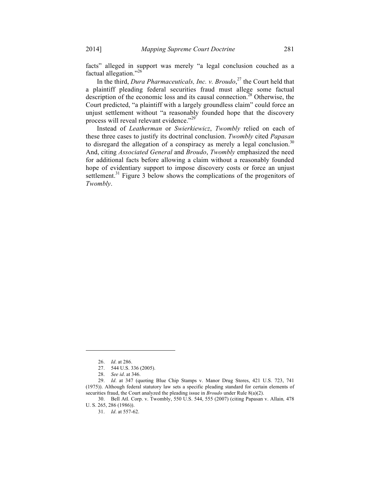facts" alleged in support was merely "a legal conclusion couched as a factual allegation." 26

In the third, *Dura Pharmaceuticals, Inc. v. Broudo*, <sup>27</sup> the Court held that a plaintiff pleading federal securities fraud must allege some factual description of the economic loss and its causal connection.<sup>28</sup> Otherwise, the Court predicted, "a plaintiff with a largely groundless claim" could force an unjust settlement without "a reasonably founded hope that the discovery process will reveal relevant evidence."<sup>29</sup>

Instead of *Leatherman* or *Swierkiewicz*, *Twombly* relied on each of these three cases to justify its doctrinal conclusion. *Twombly* cited *Papasan* to disregard the allegation of a conspiracy as merely a legal conclusion.<sup>30</sup> And, citing *Associated General* and *Broudo*, *Twombly* emphasized the need for additional facts before allowing a claim without a reasonably founded hope of evidentiary support to impose discovery costs or force an unjust settlement.<sup>31</sup> Figure 3 below shows the complications of the progenitors of *Twombly*.

<sup>26.</sup> *Id*. at 286.

<sup>27.</sup> 544 U.S. 336 (2005).

<sup>28.</sup> *See id*. at 346.

<sup>29.</sup> *Id*. at 347 (quoting Blue Chip Stamps v. Manor Drug Stores, 421 U.S. 723, 741 (1975)). Although federal statutory law sets a specific pleading standard for certain elements of securities fraud, the Court analyzed the pleading issue in *Broudo* under Rule 8(a)(2).

<sup>30.</sup> Bell Atl. Corp. v. Twombly, 550 U.S. 544, 555 (2007) (citing Papasan v. Allain*,* 478 U. S. 265, 286 (1986)).

<sup>31.</sup> *Id*. at 557-62.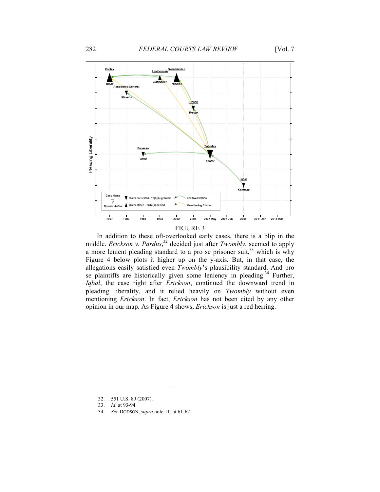

FIGURE 3

In addition to these oft-overlooked early cases, there is a blip in the middle. *Erickson v. Pardus*, <sup>32</sup> decided just after *Twombly*, seemed to apply a more lenient pleading standard to a pro se prisoner suit,  $33$  which is why Figure 4 below plots it higher up on the y-axis. But, in that case, the allegations easily satisfied even *Twombly*'s plausibility standard. And pro se plaintiffs are historically given some leniency in pleading.<sup>34</sup> Further, *Iqbal*, the case right after *Erickson*, continued the downward trend in pleading liberality, and it relied heavily on *Twombly* without even mentioning *Erickson*. In fact, *Erickson* has not been cited by any other opinion in our map. As Figure 4 shows, *Erickson* is just a red herring.

<sup>32.</sup> 551 U.S. 89 (2007).

<sup>33.</sup> *Id*. at 93-94.

<sup>34.</sup> *See* DODSON, *supra* note 11, at 61-62.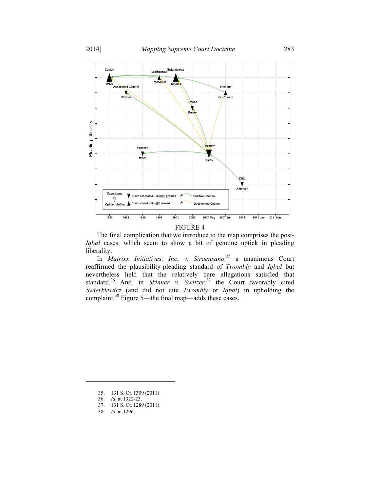

The final complication that we introduce to the map comprises the post-*Iqbal* cases, which seem to show a bit of genuine uptick in pleading liberality.

In *Matrixx Initiatives, Inc. v. Siracusano*,<sup>35</sup> a unanimous Court reaffirmed the plausibility-pleading standard of *Twombly* and *Iqbal* but nevertheless held that the relatively bare allegations satisfied that standard.<sup>36</sup> And, in *Skinner v. Switzer*,<sup>37</sup> the Court favorably cited *Swierkiewicz* (and did not cite *Twombly* or *Iqbal*) in upholding the complaint.<sup>38</sup> Figure 5—the final map—adds these cases.

<sup>35.</sup> 131 S. Ct. 1309 (2011).

<sup>36.</sup> *Id*. at 1322-23.

<sup>37.</sup> 131 S. Ct. 1289 (2011).

<sup>38.</sup> *Id*. at 1296.